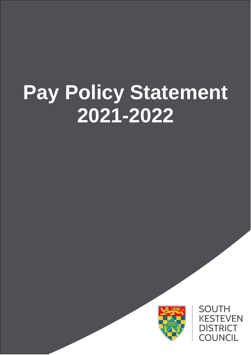# **Pay Policy Statement 2021-2022**



**SOUTH KESTEVEN DISTRICT COUNCIL**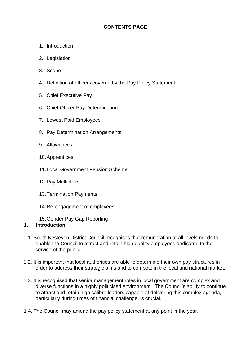# **CONTENTS PAGE**

- 1. Introduction
- 2. Legislation
- 3. Scope
- 4. Definition of officers covered by the Pay Policy Statement
- 5. Chief Executive Pay
- 6. Chief Officer Pay Determination
- 7. Lowest Paid Employees
- 8. Pay Determination Arrangements
- 9. Allowances
- 10.Apprentices
- 11.Local Government Pension Scheme
- 12.Pay Multipliers
- 13.Termination Payments
- 14.Re-engagement of employees
- 15.Gender Pay Gap Reporting

#### **1. Introduction**

- 1.1. South Kesteven District Council recognises that remuneration at all levels needs to enable the Council to attract and retain high quality employees dedicated to the service of the public.
- 1.2. It is important that local authorities are able to determine their own pay structures in order to address their strategic aims and to compete in the local and national market.
- 1.3. It is recognised that senior management roles in local government are complex and diverse functions in a highly politicised environment. The Council's ability to continue to attract and retain high calibre leaders capable of delivering this complex agenda, particularly during times of financial challenge, is crucial.
- 1.4. The Council may amend the pay policy statement at any point in the year.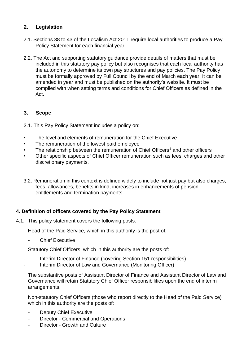# **2. Legislation**

- 2.1. Sections 38 to 43 of the Localism Act 2011 require local authorities to produce a Pay Policy Statement for each financial year.
- 2.2. The Act and supporting statutory guidance provide details of matters that must be included in this statutory pay policy but also recognises that each local authority has the autonomy to determine its own pay structures and pay policies. The Pay Policy must be formally approved by Full Council by the end of March each year. It can be amended in year and must be published on the authority's website. It must be complied with when setting terms and conditions for Chief Officers as defined in the Act.

# **3. Scope**

- 3.1. This Pay Policy Statement includes a policy on:
- The level and elements of remuneration for the Chief Executive
- The remuneration of the lowest paid employee
- The relationship between the remuneration of Chief Officers<sup>1</sup> and other officers
- Other specific aspects of Chief Officer remuneration such as fees, charges and other discretionary payments.
- 3.2. Remuneration in this context is defined widely to include not just pay but also charges, fees, allowances, benefits in kind, increases in enhancements of pension entitlements and termination payments.

# **4. Definition of officers covered by the Pay Policy Statement**

4.1. This policy statement covers the following posts:

Head of the Paid Service, which in this authority is the post of:

**Chief Executive** 

Statutory Chief Officers, which in this authority are the posts of:

- Interim Director of Finance (covering Section 151 responsibilities)
- Interim Director of Law and Governance (Monitoring Officer)

The substantive posts of Assistant Director of Finance and Assistant Director of Law and Governance will retain Statutory Chief Officer responsibilities upon the end of interim arrangements.

Non-statutory Chief Officers (those who report directly to the Head of the Paid Service) which in this authority are the posts of:

- Deputy Chief Executive
- Director Commercial and Operations
- Director Growth and Culture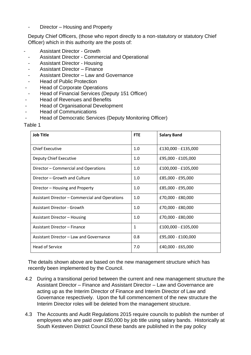Director – Housing and Property

Deputy Chief Officers, (those who report directly to a non-statutory or statutory Chief Officer) which in this authority are the posts of:

- Assistant Director Growth
- Assistant Director Commercial and Operational
- Assistant Director Housing
- Assistant Director Finance
- Assistant Director Law and Governance
- **Head of Public Protection**
- Head of Corporate Operations
- Head of Financial Services (Deputy 151 Officer)
- Head of Revenues and Benefits
- Head of Organisational Development
- **Head of Communications**
- Head of Democratic Services (Deputy Monitoring Officer)

#### Table 1

| <b>Job Title</b>                               | <b>FTE</b> | <b>Salary Band</b>  |
|------------------------------------------------|------------|---------------------|
| <b>Chief Executive</b>                         | 1.0        | £130,000 - £135,000 |
| Deputy Chief Executive                         | 1.0        | £95,000 - £105,000  |
| Director - Commercial and Operations           | 1.0        | £100,000 - £105,000 |
| Director – Growth and Culture                  | 1.0        | £85,000 - £95,000   |
| Director – Housing and Property                | 1.0        | £85,000 - £95,000   |
| Assistant Director - Commercial and Operations | 1.0        | £70,000 - £80,000   |
| <b>Assistant Director - Growth</b>             | 1.0        | £70,000 - £80,000   |
| Assistant Director – Housing                   | 1.0        | £70,000 - £80,000   |
| Assistant Director - Finance                   | 1          | £100,000 - £105,000 |
| Assistant Director – Law and Governance        | 0.8        | £95,000 - £100,000  |
| <b>Head of Service</b>                         | 7.0        | £40,000 - £65,000   |

The details shown above are based on the new management structure which has recently been implemented by the Council.

- 4.2 During a transitional period between the current and new management structure the Assistant Director – Finance and Assistant Director – Law and Governance are acting up as the Interim Director of Finance and Interim Director of Law and Governance respectively. Upon the full commencement of the new structure the Interim Director roles will be deleted from the management structure.
- 4.3 The Accounts and Audit Regulations 2015 require councils to publish the number of employees who are paid over £50,000 by job title using salary bands. Historically at South Kesteven District Council these bands are published in the pay policy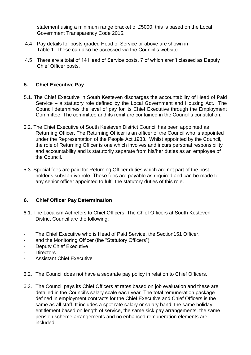statement using a minimum range bracket of £5000, this is based on the Local Government Transparency Code 2015.

- 4.4 Pay details for posts graded Head of Service or above are shown in Table 1. These can also be accessed via the Council's website.
- 4.5 There are a total of 14 Head of Service posts, 7 of which aren't classed as Deputy Chief Officer posts.

# **5. Chief Executive Pay**

- 5.1. The Chief Executive in South Kesteven discharges the accountability of Head of Paid Service – a statutory role defined by the Local Government and Housing Act. The Council determines the level of pay for its Chief Executive through the Employment Committee. The committee and its remit are contained in the Council's constitution.
- 5.2. The Chief Executive of South Kesteven District Council has been appointed as Returning Officer. The Returning Officer is an officer of the Council who is appointed under the Representation of the People Act 1983. Whilst appointed by the Council, the role of Returning Officer is one which involves and incurs personal responsibility and accountability and is statutorily separate from his/her duties as an employee of the Council.
- 5.3. Special fees are paid for Returning Officer duties which are not part of the post holder's substantive role. These fees are payable as required and can be made to any senior officer appointed to fulfil the statutory duties of this role.

#### **6. Chief Officer Pay Determination**

- 6.1. The Localism Act refers to Chief Officers. The Chief Officers at South Kesteven District Council are the following:
- The Chief Executive who is Head of Paid Service, the Section151 Officer,
- and the Monitoring Officer (the "Statutory Officers"),
- Deputy Chief Executive
- Directors
- Assistant Chief Executive
- 6.2. The Council does not have a separate pay policy in relation to Chief Officers.
- 6.3. The Council pays its Chief Officers at rates based on job evaluation and these are detailed in the Council's salary scale each year. The total remuneration package defined in employment contracts for the Chief Executive and Chief Officers is the same as all staff. It includes a spot rate salary or salary band, the same holiday entitlement based on length of service, the same sick pay arrangements, the same pension scheme arrangements and no enhanced remuneration elements are included.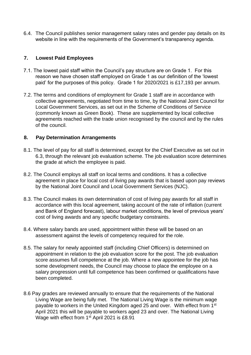6.4. The Council publishes senior management salary rates and gender pay details on its website in line with the requirements of the Government's transparency agenda.

#### **7. Lowest Paid Employees**

- 7.1. The lowest paid staff within the Council's pay structure are on Grade 1. For this reason we have chosen staff employed on Grade 1 as our definition of the 'lowest paid' for the purposes of this policy. Grade 1 for 2020/2021 is £17,193 per annum.
- 7.2. The terms and conditions of employment for Grade 1 staff are in accordance with collective agreements, negotiated from time to time, by the National Joint Council for Local Government Services, as set out in the Scheme of Conditions of Service (commonly known as Green Book). These are supplemented by local collective agreements reached with the trade union recognised by the council and by the rules of the council.

#### **8. Pay Determination Arrangements**

- 8.1. The level of pay for all staff is determined, except for the Chief Executive as set out in 6.3, through the relevant job evaluation scheme. The job evaluation score determines the grade at which the employee is paid.
- 8.2. The Council employs all staff on local terms and conditions. It has a collective agreement in place for local cost of living pay awards that is based upon pay reviews by the National Joint Council and Local Government Services (NJC).
- 8.3. The Council makes its own determination of cost of living pay awards for all staff in accordance with this local agreement, taking account of the rate of inflation (current and Bank of England forecast), labour market conditions, the level of previous years' cost of living awards and any specific budgetary constraints.
- 8.4. Where salary bands are used, appointment within these will be based on an assessment against the levels of competency required for the role.
- 8.5. The salary for newly appointed staff (including Chief Officers) is determined on appointment in relation to the job evaluation score for the post. The job evaluation score assumes full competence at the job. Where a new appointee for the job has some development needs, the Council may choose to place the employee on a salary progression until full competence has been confirmed or qualifications have been completed.
- 8.6 Pay grades are reviewed annually to ensure that the requirements of the National Living Wage are being fully met. The National Living Wage is the minimum wage payable to workers in the United Kingdom aged 25 and over. With effect from 1<sup>st</sup> April 2021 this will be payable to workers aged 23 and over. The National Living Wage with effect from 1<sup>st</sup> April 2021 is £8.91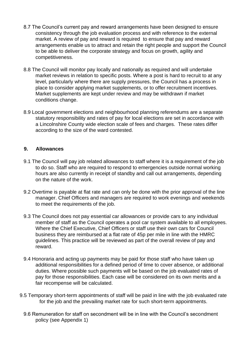- 8.7 The Council's current pay and reward arrangements have been designed to ensure consistency through the job evaluation process and with reference to the external market. A review of pay and reward is required to ensure that pay and reward arrangements enable us to attract and retain the right people and support the Council to be able to deliver the corporate strategy and focus on growth, agility and competitiveness.
- 8.8 The Council will monitor pay locally and nationally as required and will undertake market reviews in relation to specific posts. Where a post is hard to recruit to at any level, particularly where there are supply pressures, the Council has a process in place to consider applying market supplements, or to offer recruitment incentives. Market supplements are kept under review and may be withdrawn if market conditions change.
- 8.9 Local government elections and neighbourhood planning referendums are a separate statutory responsibility and rates of pay for local elections are set in accordance with a Lincolnshire County wide election scale of fees and charges. These rates differ according to the size of the ward contested.

#### **9. Allowances**

- 9.1 The Council will pay job related allowances to staff where it is a requirement of the job to do so. Staff who are required to respond to emergencies outside normal working hours are also currently in receipt of standby and call out arrangements, depending on the nature of the work.
- 9.2 Overtime is payable at flat rate and can only be done with the prior approval of the line manager. Chief Officers and managers are required to work evenings and weekends to meet the requirements of the job.
- 9.3 The Council does not pay essential car allowances or provide cars to any individual member of staff as the Council operates a pool car system available to all employees. Where the Chief Executive, Chief Officers or staff use their own cars for Council business they are reimbursed at a flat rate of 45p per mile in line with the HMRC guidelines. This practice will be reviewed as part of the overall review of pay and reward.
- 9.4 Honoraria and acting up payments may be paid for those staff who have taken up additional responsibilities for a defined period of time to cover absence, or additional duties. Where possible such payments will be based on the job evaluated rates of pay for those responsibilities. Each case will be considered on its own merits and a fair recompense will be calculated.
- 9.5 Temporary short-term appointments of staff will be paid in line with the job evaluated rate for the job and the prevailing market rate for such short-term appointments.
	- 9.6 Remuneration for staff on secondment will be in line with the Council's secondment policy (see Appendix 1)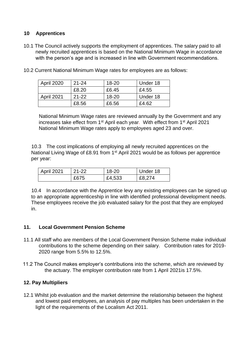#### **10 Apprentices**

10.1 The Council actively supports the employment of apprentices. The salary paid to all newly recruited apprentices is based on the National Minimum Wage in accordance with the person's age and is increased in line with Government recommendations.

| <b>April 2020</b> | $21 - 24$ | 18-20     | Under 18 |
|-------------------|-----------|-----------|----------|
|                   | £8.20     | £6.45     | £4.55    |
| <b>April 2021</b> | $21 - 22$ | $18 - 20$ | Under 18 |
|                   | £8.56     | £6.56     | £4.62    |

10.2 Current National Minimum Wage rates for employees are as follows:

National Minimum Wage rates are reviewed annually by the Government and any increases take effect from 1<sup>st</sup> April each year. With effect from 1<sup>st</sup> April 2021 National Minimum Wage rates apply to employees aged 23 and over.

10.3 The cost implications of employing all newly recruited apprentices on the National Living Wage of £8.91 from 1<sup>st</sup> April 2021 would be as follows per apprentice per year:

| April 2021 | $21 - 22$ | 18-20  | Under 18 |
|------------|-----------|--------|----------|
|            | £675      | £4,533 | £8,274   |

10.4 In accordance with the Apprentice levy any existing employees can be signed up to an appropriate apprenticeship in line with identified professional development needs. These employees receive the job evaluated salary for the post that they are employed in.

#### **11. Local Government Pension Scheme**

- 11.1 All staff who are members of the Local Government Pension Scheme make individual contributions to the scheme depending on their salary. Contribution rates for 2019- 2020 range from 5.5% to 12.5%.
- 11.2 The Council makes employer's contributions into the scheme, which are reviewed by the actuary. The employer contribution rate from 1 April 2021is 17.5%.

#### **12. Pay Multipliers**

12.1 Whilst job evaluation and the market determine the relationship between the highest and lowest paid employees, an analysis of pay multiples has been undertaken in the light of the requirements of the Localism Act 2011.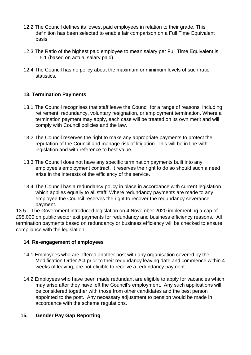- 12.2 The Council defines its lowest paid employees in relation to their grade. This definition has been selected to enable fair comparison on a Full Time Equivalent basis.
- 12.3 The Ratio of the highest paid employee to mean salary per Full Time Equivalent is 1:5.1 (based on actual salary paid).
- 12.4 The Council has no policy about the maximum or minimum levels of such ratio statistics.

# **13. Termination Payments**

- 13.1 The Council recognises that staff leave the Council for a range of reasons, including retirement, redundancy, voluntary resignation, or employment termination. Where a termination payment may apply, each case will be treated on its own merit and will comply with Council policies and the law.
- 13.2 The Council reserves the right to make any appropriate payments to protect the reputation of the Council and manage risk of litigation. This will be in line with legislation and with reference to best value.
- 13.3 The Council does not have any specific termination payments built into any employee's employment contract. It reserves the right to do so should such a need arise in the interests of the efficiency of the service.
- 13.4 The Council has a redundancy policy in place in accordance with current legislation which applies equally to all staff. Where redundancy payments are made to any employee the Council reserves the right to recover the redundancy severance payment.

13.5 The Government introduced legislation on 4 November 2020 implementing a cap of £95,000 on public sector exit payments for redundancy and business efficiency reasons. All termination payments based on redundancy or business efficiency will be checked to ensure compliance with the legislation.

#### **14. Re-engagement of employees**

- 14.1 Employees who are offered another post with any organisation covered by the Modification Order Act prior to their redundancy leaving date and commence within 4 weeks of leaving, are not eligible to receive a redundancy payment.
- 14.2 Employees who have been made redundant are eligible to apply for vacancies which may arise after they have left the Council's employment. Any such applications will be considered together with those from other candidates and the best person appointed to the post. Any necessary adjustment to pension would be made in accordance with the scheme regulations.

#### **15. Gender Pay Gap Reporting**